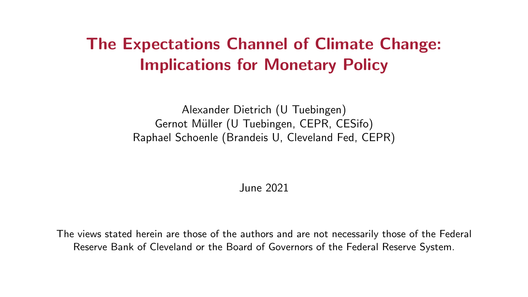# <span id="page-0-0"></span>The Expectations Channel of Climate Change: Implications for Monetary Policy

Alexander Dietrich (U Tuebingen) Gernot Müller (U Tuebingen, CEPR, CESifo) Raphael Schoenle (Brandeis U, Cleveland Fed, CEPR)

June 2021

The views stated herein are those of the authors and are not necessarily those of the Federal Reserve Bank of Cleveland or the Board of Governors of the Federal Reserve System.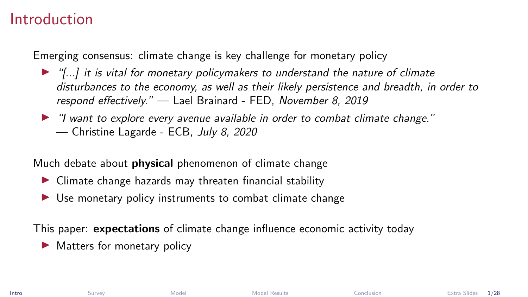### <span id="page-1-0"></span>Introduction

Emerging consensus: climate change is key challenge for monetary policy

- $\blacktriangleright$  "[...] it is vital for monetary policymakers to understand the nature of climate disturbances to the economy, as well as their likely persistence and breadth, in order to respond effectively." — Lael Brainard - FED, November 8, 2019
- $\blacktriangleright$  "I want to explore every avenue available in order to combat climate change." — Christine Lagarde - ECB, July 8, 2020

Much debate about **physical** phenomenon of climate change

- $\triangleright$  Climate change hazards may threaten financial stability
- $\triangleright$  Use monetary policy instruments to combat climate change

This paper: expectations of climate change influence economic activity today

 $\blacktriangleright$  Matters for monetary policy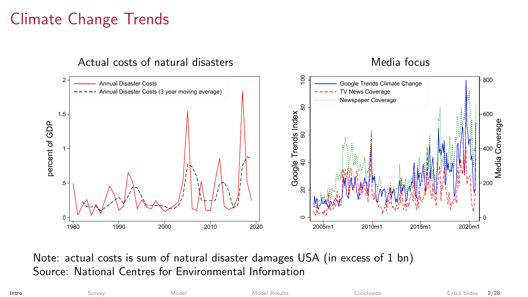# Climate Change Trends



Note: actual costs is sum of natural disaster damages USA (in excess of 1 bn) Source: National Centres for Environmental Information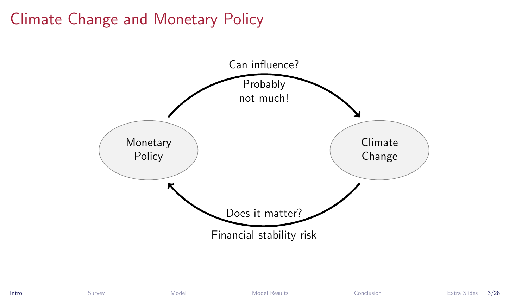# Climate Change and Monetary Policy

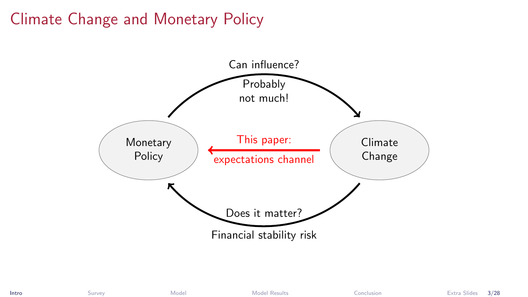# Climate Change and Monetary Policy

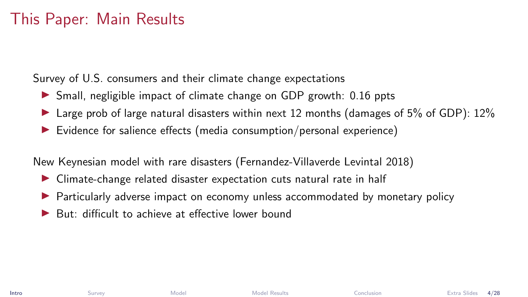## This Paper: Main Results

Survey of U.S. consumers and their climate change expectations

- $\triangleright$  Small, negligible impact of climate change on GDP growth: 0.16 ppts
- In Large prob of large natural disasters within next 12 months (damages of 5% of GDP):  $12\%$
- $\triangleright$  Evidence for salience effects (media consumption/personal experience)

New Keynesian model with rare disasters (Fernandez-Villaverde Levintal 2018)

- $\triangleright$  Climate-change related disaster expectation cuts natural rate in half
- Particularly adverse impact on economy unless accommodated by monetary policy
- But: difficult to achieve at effective lower bound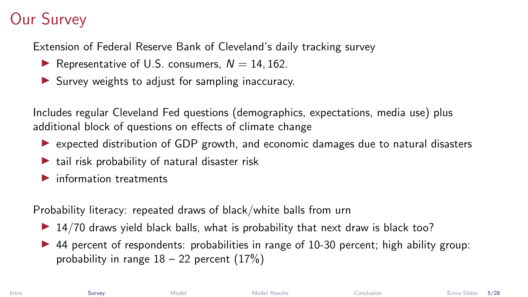# <span id="page-6-0"></span>Our Survey

Extension of Federal Reserve Bank of Cleveland's daily tracking survey

- Representative of U.S. consumers,  $N = 14, 162$ .
- $\blacktriangleright$  Survey weights to adjust for sampling inaccuracy.

Includes regular Cleveland Fed questions (demographics, expectations, media use) plus additional block of questions on effects of climate change

- $\triangleright$  expected distribution of GDP growth, and economic damages due to natural disasters
- $\blacktriangleright$  tail risk probability of natural disaster risk
- $\blacktriangleright$  information treatments

Probability literacy: repeated draws of black/white balls from urn

- $\triangleright$  14/70 draws yield black balls, what is probability that next draw is black too?
- $\triangleright$  44 percent of respondents: probabilities in range of 10-30 percent; high ability group: probability in range  $18 - 22$  percent  $(17%)$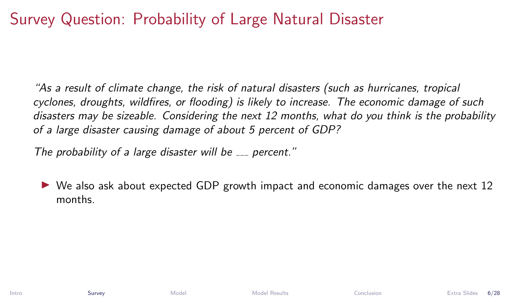# Survey Question: Probability of Large Natural Disaster

"As a result of climate change, the risk of natural disasters (such as hurricanes, tropical cyclones, droughts, wildfires, or flooding) is likely to increase. The economic damage of such disasters may be sizeable. Considering the next 12 months, what do you think is the probability of a large disaster causing damage of about 5 percent of GDP?

The probability of a large disaster will be  $\sim$  percent."

I We also ask about expected GDP growth impact and economic damages over the next 12 months.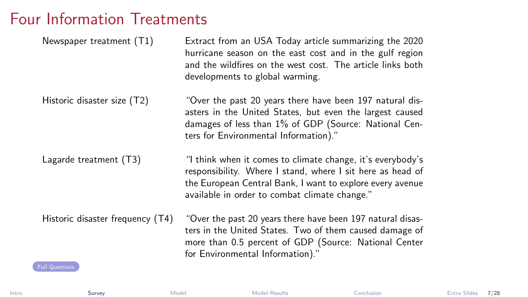### Four Information Treatments

<span id="page-8-0"></span>

| Newspaper treatment (T1)                                  | Extract from an USA Today article summarizing the 2020<br>hurricane season on the east cost and in the gulf region<br>and the wildfires on the west cost. The article links both<br>developments to global warming.                    |
|-----------------------------------------------------------|----------------------------------------------------------------------------------------------------------------------------------------------------------------------------------------------------------------------------------------|
| Historic disaster size (T2)                               | "Over the past 20 years there have been 197 natural dis-<br>asters in the United States, but even the largest caused<br>damages of less than 1% of GDP (Source: National Cen-<br>ters for Environmental Information)."                 |
| Lagarde treatment (T3)                                    | "I think when it comes to climate change, it's everybody's<br>responsibility. Where I stand, where I sit here as head of<br>the European Central Bank, I want to explore every avenue<br>available in order to combat climate change." |
| Historic disaster frequency (T4)<br><b>Full Questions</b> | "Over the past 20 years there have been 197 natural disas-<br>ters in the United States. Two of them caused damage of<br>more than 0.5 percent of GDP (Source: National Center<br>for Environmental Information)."                     |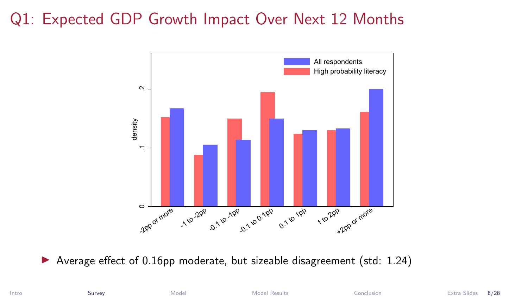# Q1: Expected GDP Growth Impact Over Next 12 Months



 $\blacktriangleright$  Average effect of 0.16pp moderate, but sizeable disagreement (std: 1.24)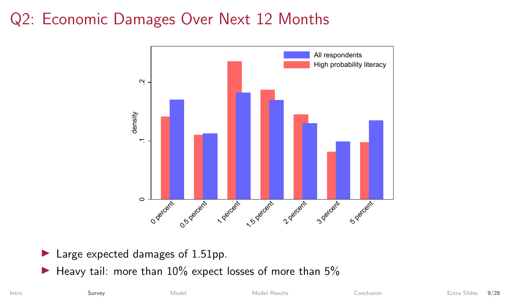## Q2: Economic Damages Over Next 12 Months



- $\blacktriangleright$  Large expected damages of 1.51pp.
- $\blacktriangleright$  Heavy tail: more than 10% expect losses of more than 5%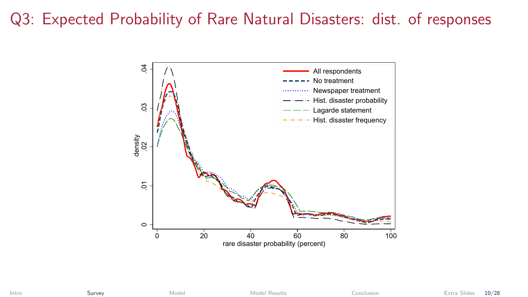## Q3: Expected Probability of Rare Natural Disasters: dist. of responses

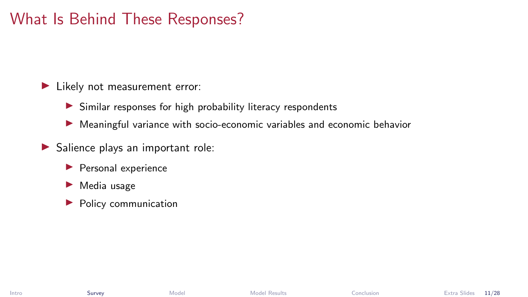## What Is Behind These Responses?

In Likely not measurement error:

- $\triangleright$  Similar responses for high probability literacy respondents
- $\blacktriangleright$  Meaningful variance with socio-economic variables and economic behavior
- $\blacktriangleright$  Salience plays an important role:
	- $\blacktriangleright$  Personal experience
	- $\blacktriangleright$  Media usage
	- $\blacktriangleright$  Policy communication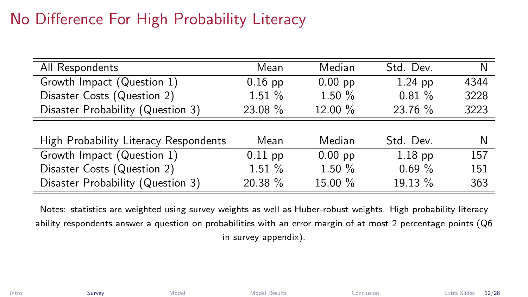# No Difference For High Probability Literacy

| All Respondents                       | Mean      | Median    | Std. Dev. | N    |
|---------------------------------------|-----------|-----------|-----------|------|
| Growth Impact (Question 1)            | $0.16$ pp | $0.00$ pp | $1.24$ pp | 4344 |
| Disaster Costs (Question 2)           | 1.51%     | 1.50%     | $0.81 \%$ | 3228 |
| Disaster Probability (Question 3)     | 23.08 %   | 12.00 %   | 23.76 %   | 3223 |
|                                       |           |           |           |      |
| High Probability Literacy Respondents | Mean      | Median    | Std. Dev. | N    |
| Growth Impact (Question 1)            | $0.11$ pp | $0.00$ pp | $1.18$ pp | 157  |
| Disaster Costs (Question 2)           | $1.51\%$  | 1.50%     | 0.69%     | 151  |
| Disaster Probability (Question 3)     | 20.38 %   | 15.00 %   | 19.13 %   | 363  |

Notes: statistics are weighted using survey weights as well as Huber-robust weights. High probability literacy ability respondents answer a question on probabilities with an error margin of at most 2 percentage points (Q6 in survey appendix).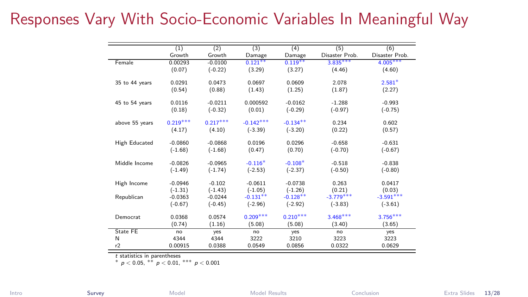## Responses Vary With Socio-Economic Variables In Meaningful Way

|                      | (1)        | (2)        | (3)         | (4)        | (5)            | (6)            |
|----------------------|------------|------------|-------------|------------|----------------|----------------|
|                      | Growth     | Growth     | Damage      | Damage     | Disaster Prob. | Disaster Prob. |
| Female               | 0.00293    | $-0.0100$  | $0.121***$  | $0.119***$ | $3.835***$     | $4.005***$     |
|                      | (0.07)     | $(-0.22)$  | (3.29)      | (3.27)     | (4.46)         | (4.60)         |
| 35 to 44 years       | 0.0291     | 0.0473     | 0.0697      | 0.0609     | 2.078          | $2.581*$       |
|                      | (0.54)     | (0.88)     | (1.43)      | (1.25)     | (1.87)         | (2.27)         |
| 45 to 54 years       | 0.0116     | $-0.0211$  | 0.000592    | $-0.0162$  | $-1.288$       | $-0.993$       |
|                      | (0.18)     | $(-0.32)$  | (0.01)      | $(-0.29)$  | $(-0.97)$      | $(-0.75)$      |
|                      |            |            |             |            |                |                |
| above 55 years       | $0.219***$ | $0.217***$ | $-0.142***$ | $-0.134**$ | 0.234          | 0.602          |
|                      | (4.17)     | (4.10)     | $(-3.39)$   | $(-3.20)$  | (0.22)         | (0.57)         |
| <b>High Educated</b> | $-0.0860$  | $-0.0868$  | 0.0196      | 0.0296     | $-0.658$       | $-0.631$       |
|                      | $(-1.68)$  | $(-1.68)$  | (0.47)      | (0.70)     | $(-0.70)$      | $(-0.67)$      |
| Middle Income        | $-0.0826$  | $-0.0965$  | $-0.116*$   | $-0.108*$  | $-0.518$       | $-0.838$       |
|                      | $(-1.49)$  | $(-1.74)$  | $(-2.53)$   | $(-2.37)$  | $(-0.50)$      | $(-0.80)$      |
| High Income          | $-0.0946$  | $-0.102$   | $-0.0611$   | $-0.0738$  | 0.263          | 0.0417         |
|                      | $(-1.31)$  | $(-1.43)$  | $(-1.05)$   | $(-1.26)$  | (0.21)         | (0.03)         |
| Republican           | $-0.0363$  | $-0.0244$  | $-0.131**$  | $-0.128**$ | $-3.779***$    | $-3.591***$    |
|                      | $(-0.67)$  | $(-0.45)$  | $(-2.96)$   | $(-2.92)$  | $(-3.83)$      | $(-3.61)$      |
| Democrat             | 0.0368     | 0.0574     | $0.209***$  | $0.210***$ | $3.468***$     | $3.756***$     |
|                      | (0.74)     | (1.16)     | (5.08)      | (5.08)     | (3.40)         | (3.65)         |
| State FE             | no         | yes        | no          | yes        | no             | yes            |
| N                    | 4344       | 4344       | 3222        | 3210       | 3223           | 3223           |
| r2                   | 0.00915    | 0.0388     | 0.0549      | 0.0856     | 0.0322         | 0.0629         |

t statistics in parentheses

 $*$  p < 0.05,  $*$  p < 0.01,  $***$  p < 0.001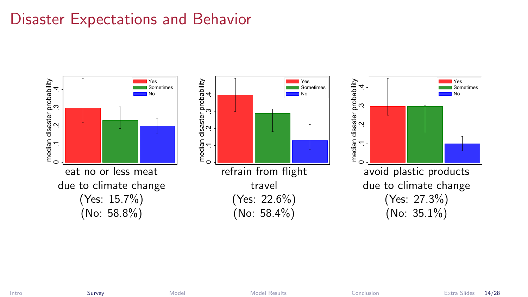## Disaster Expectations and Behavior



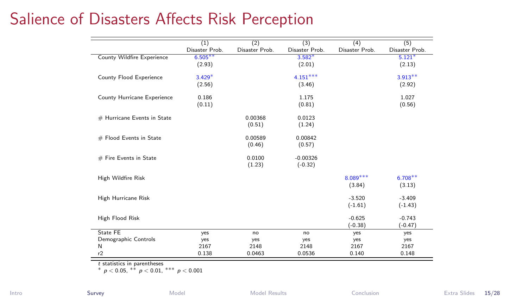## Salience of Disasters Affects Risk Perception

|                                   | (1)            | (2)            | (3)            | (4)            | (5)            |
|-----------------------------------|----------------|----------------|----------------|----------------|----------------|
|                                   | Disaster Prob. | Disaster Prob. | Disaster Prob. | Disaster Prob. | Disaster Prob. |
| <b>County Wildfire Experience</b> | $6.505***$     |                | $3.582*$       |                | $5.121*$       |
|                                   | (2.93)         |                | (2.01)         |                | (2.13)         |
| County Flood Experience           | $3.429*$       |                | $4.151***$     |                | $3.913**$      |
|                                   | (2.56)         |                | (3.46)         |                | (2.92)         |
| County Hurricane Experience       | 0.186          |                | 1.175          |                | 1.027          |
|                                   | (0.11)         |                | (0.81)         |                | (0.56)         |
| # Hurricane Events in State       |                | 0.00368        | 0.0123         |                |                |
|                                   |                | (0.51)         | (1.24)         |                |                |
| # Flood Events in State           |                | 0.00589        | 0.00842        |                |                |
|                                   |                | (0.46)         | (0.57)         |                |                |
| # Fire Events in State            |                | 0.0100         | $-0.00326$     |                |                |
|                                   |                | (1.23)         | $(-0.32)$      |                |                |
| High Wildfire Risk                |                |                |                | $8.089***$     | $6.708***$     |
|                                   |                |                |                | (3.84)         | (3.13)         |
| High Hurricane Risk               |                |                |                | $-3.520$       | $-3.409$       |
|                                   |                |                |                | $(-1.61)$      | $(-1.43)$      |
| High Flood Risk                   |                |                |                | $-0.625$       | $-0.743$       |
|                                   |                |                |                | $(-0.38)$      | $(-0.47)$      |
| State FF                          | yes            | no             | no             | yes            | yes            |
| Demographic Controls              | yes            | yes            | yes            | yes            | yes            |
| N                                 | 2167           | 2148           | 2148           | 2167           | 2167           |
| r2                                | 0.138          | 0.0463         | 0.0536         | 0.140          | 0.148          |

t statistics in parentheses

J.

∗ p < 0.05, ∗∗ p < 0.01, ∗∗∗ p < 0.001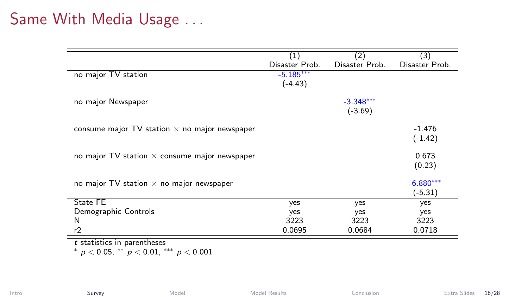### Same With Media Usage . . .

|                                                        | (1)                      | (2)                      | (3)                      |
|--------------------------------------------------------|--------------------------|--------------------------|--------------------------|
|                                                        | Disaster Prob.           | Disaster Prob.           | Disaster Prob.           |
| no major TV station                                    | $-5.185***$<br>$(-4.43)$ |                          |                          |
| no major Newspaper                                     |                          | $-3.348***$<br>$(-3.69)$ |                          |
| consume major $TV$ station $\times$ no major newspaper |                          |                          | $-1.476$<br>$(-1.42)$    |
| no major $TV$ station $\times$ consume major newspaper |                          |                          | 0.673<br>(0.23)          |
| no major $TV$ station $\times$ no major newspaper      |                          |                          | $-6.880***$<br>$(-5.31)$ |
| State FE                                               | yes                      | yes                      | yes                      |
| Demographic Controls                                   | yes                      | yes                      | yes                      |
| N                                                      | 3223                     | 3223                     | 3223                     |
| r2                                                     | 0.0695                   | 0.0684                   | 0.0718                   |

t statistics in parentheses

\*  $p < 0.05$ , \*\*  $p < 0.01$ , \*\*\*  $p < 0.001$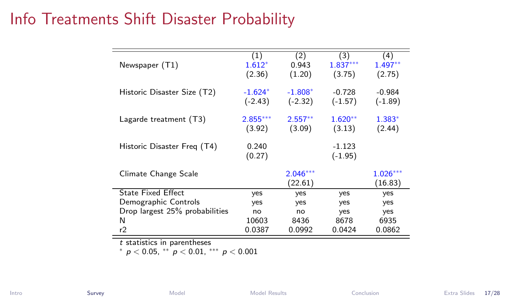### <span id="page-18-0"></span>Info Treatments Shift Disaster Probability

| Newspaper (T1)                 | (1)<br>$1.612*$<br>(2.36) | (2)<br>0.943<br>(1.20) | (3)<br>$1.837***$<br>(3.75) | (4)<br>$1.497**$<br>(2.75) |
|--------------------------------|---------------------------|------------------------|-----------------------------|----------------------------|
| Historic Disaster Size (T2)    | $-1.624*$<br>$(-2.43)$    | $-1.808*$<br>$(-2.32)$ | $-0.728$<br>$(-1.57)$       | $-0.984$<br>$(-1.89)$      |
| Lagarde treatment (T3)         | $2.855***$<br>(3.92)      | $2.557**$<br>(3.09)    | $1.620**$<br>(3.13)         | $1.383*$<br>(2.44)         |
| Historic Disaster Freq (T4)    | 0.240<br>(0.27)           |                        | $-1.123$<br>$(-1.95)$       |                            |
| Climate Change Scale           |                           | $2.046***$<br>(22.61)  |                             | $1.026***$<br>(16.83)      |
| <b>State Fixed Effect</b>      | yes                       | yes                    | yes                         | yes                        |
| Demographic Controls           | yes                       | yes                    | yes                         | yes                        |
| Drop largest 25% probabilities | no                        | no                     | yes                         | yes                        |
| N                              | 10603                     | 8436                   | 8678                        | 6935                       |
| r2                             | 0.0387                    | 0.0992                 | 0.0424                      | 0.0862                     |

t statistics in parentheses

 $*$  p < 0.05,  $*$  p < 0.01,  $*$  p < 0.001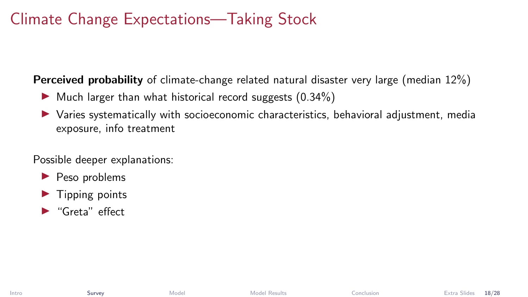## Climate Change Expectations—Taking Stock

Perceived probability of climate-change related natural disaster very large (median 12%)

- $\triangleright$  Much larger than what historical record suggests (0.34%)
- I Varies systematically with socioeconomic characteristics, behavioral adjustment, media exposure, info treatment

Possible deeper explanations:

- $\blacktriangleright$  Peso problems
- $\blacktriangleright$  Tipping points
- $\blacktriangleright$  "Greta" effect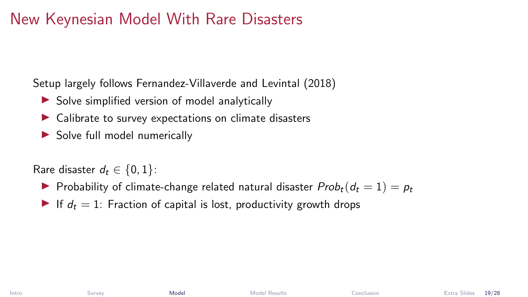## <span id="page-20-0"></span>New Keynesian Model With Rare Disasters

Setup largely follows Fernandez-Villaverde and Levintal (2018)

- $\triangleright$  Solve simplified version of model analytically
- $\blacktriangleright$  Calibrate to survey expectations on climate disasters
- $\triangleright$  Solve full model numerically

Rare disaster  $d_t \in \{0, 1\}$ :

- **Probability of climate-change related natural disaster**  $Prob_t(d_t = 1) = p_t$
- If  $d_t = 1$ : Fraction of capital is lost, productivity growth drops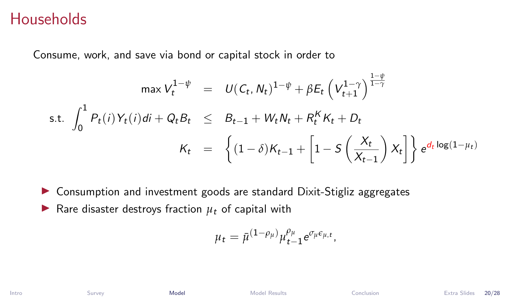#### **Households**

Consume, work, and save via bond or capital stock in order to

$$
\max V_t^{1-\psi} = U(C_t, N_t)^{1-\psi} + \beta E_t \left( V_{t+1}^{1-\gamma} \right)^{\frac{1-\psi}{1-\gamma}}
$$
  
s.t. 
$$
\int_0^1 P_t(i) Y_t(i) di + Q_t B_t \leq B_{t-1} + W_t N_t + R_t^K K_t + D_t
$$

$$
K_t = \left\{ (1-\delta)K_{t-1} + \left[ 1 - S\left(\frac{X_t}{X_{t-1}}\right) X_t \right] \right\} e^{d_t \log(1-\mu_t)}
$$

- $\triangleright$  Consumption and investment goods are standard Dixit-Stigliz aggregates
- **I** Rare disaster destroys fraction  $\mu_t$  of capital with

$$
\mu_t = \bar{\mu}^{(1-\rho_\mu)} \mu_{t-1}^{\rho_\mu} e^{\sigma_\mu \epsilon_{\mu,t}},
$$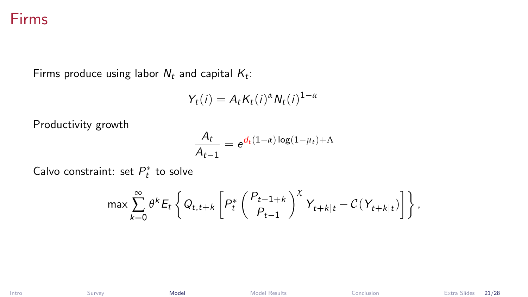#### Firms

Firms produce using labor  $N_t$  and capital  $K_t$ :

$$
Y_t(i) = A_t K_t(i)^{\alpha} N_t(i)^{1-\alpha}
$$

Productivity growth

$$
\frac{A_t}{A_{t-1}} = e^{d_t(1-\alpha)\log(1-\mu_t)+\Lambda}
$$

Calvo constraint: set  $P_t^*$  to solve

$$
\max \sum_{k=0}^{\infty} \theta^k E_t \left\{ Q_{t,t+k} \left[ P_t^* \left( \frac{P_{t-1+k}}{P_{t-1}} \right)^{\chi} Y_{t+k|t} - \mathcal{C}(Y_{t+k|t}) \right] \right\},\right.
$$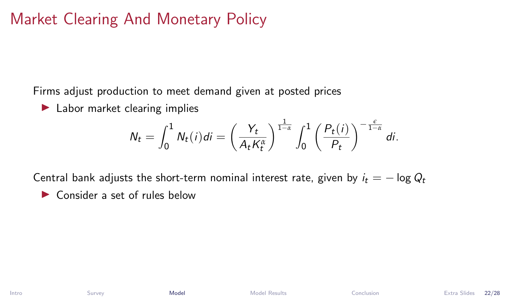## Market Clearing And Monetary Policy

Firms adjust production to meet demand given at posted prices

 $\blacktriangleright$  Labor market clearing implies

$$
N_t = \int_0^1 N_t(i)di = \left(\frac{Y_t}{A_tK_t^{\alpha}}\right)^{\frac{1}{1-\alpha}} \int_0^1 \left(\frac{P_t(i)}{P_t}\right)^{-\frac{\epsilon}{1-\alpha}} di.
$$

Central bank adjusts the short-term nominal interest rate, given by  $i_t = -\log Q_t$  $\triangleright$  Consider a set of rules below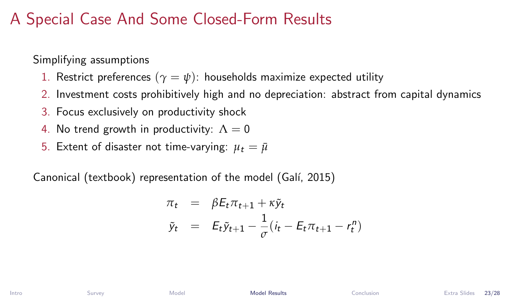### <span id="page-24-0"></span>A Special Case And Some Closed-Form Results

Simplifying assumptions

- 1. Restrict preferences  $(\gamma = \psi)$ : households maximize expected utility
- 2. Investment costs prohibitively high and no depreciation: abstract from capital dynamics
- 3. Focus exclusively on productivity shock
- 4. No trend growth in productivity:  $\Lambda = 0$
- 5. Extent of disaster not time-varying:  $\mu_t = \bar{\mu}$

Canonical (textbook) representation of the model (Galí, 2015)

$$
\begin{array}{rcl}\n\pi_t & = & \beta E_t \pi_{t+1} + \kappa \tilde{y}_t \\
\tilde{y}_t & = & E_t \tilde{y}_{t+1} - \frac{1}{\sigma} \left( i_t - E_t \pi_{t+1} - r_t^n \right)\n\end{array}
$$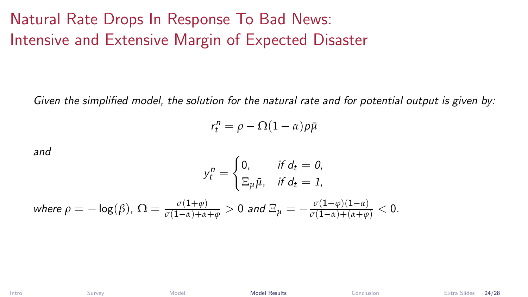# Natural Rate Drops In Response To Bad News: Intensive and Extensive Margin of Expected Disaster

Given the simplified model, the solution for the natural rate and for potential output is given by:

$$
r_t^n = \rho - \Omega(1-\alpha)p\bar{\mu}
$$

and

$$
y_t^n = \begin{cases} 0, & \text{if } d_t = 0, \\ \Xi_{\mu} \bar{\mu}, & \text{if } d_t = 1, \end{cases}
$$

where 
$$
\rho = -\log(\beta)
$$
,  $\Omega = \frac{\sigma(1+\varphi)}{\sigma(1-\alpha)+\alpha+\varphi} > 0$  and  $\Xi_{\mu} = -\frac{\sigma(1-\varphi)(1-\alpha)}{\sigma(1-\alpha)+(\alpha+\varphi)} < 0$ .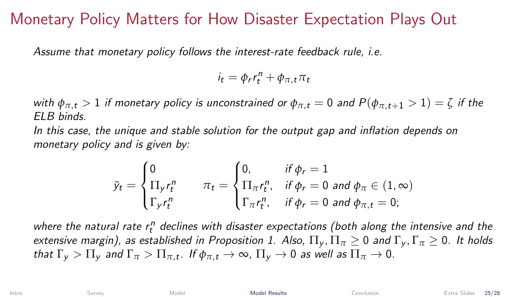### Monetary Policy Matters for How Disaster Expectation Plays Out

Assume that monetary policy follows the interest-rate feedback rule, i.e.

$$
i_t = \phi_r r_t^n + \phi_{\pi,t} \pi_t
$$

with  $\phi_{\pi,t} > 1$  if monetary policy is unconstrained or  $\phi_{\pi,t} = 0$  and  $P(\phi_{\pi,t+1} > 1) = \zeta$  if the  $FIR$  binds.

In this case, the unique and stable solution for the output gap and inflation depends on monetary policy and is given by:

$$
\tilde{y}_t = \begin{cases}\n0 & \text{if } \phi_r = 1 \\
\Pi_y r_t^n & \pi_t = \begin{cases}\n0, & \text{if } \phi_r = 1 \\
\Pi_\pi r_t^n, & \text{if } \phi_r = 0 \text{ and } \phi_\pi \in (1, \infty) \\
\Gamma_y r_t^n & \text{if } \phi_r = 0 \text{ and } \phi_{\pi, t} = 0;\n\end{cases}
$$

where the natural rate  $r_t^n$  declines with disaster expectations (both along the intensive and the extensive margin), as established in Proposition 1. Also,  $\Pi_{v}$ ,  $\Pi_{\pi} > 0$  and  $\Gamma_{v}$ ,  $\Gamma_{\pi} > 0$ . It holds that  $\Gamma_y > \Pi_y$  and  $\Gamma_\pi > \Pi_{\pi,t}$ . If  $\phi_{\pi,t} \to \infty$ ,  $\Pi_y \to 0$  as well as  $\Pi_\pi \to 0$ .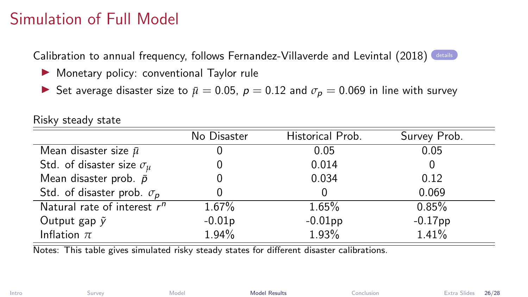## Simulation of Full Model

<span id="page-27-0"></span>Calibration to annual frequency, follows Fernandez-Villaverde and Levintal  $(2018)$  [details](#page-32-0)

- $\blacktriangleright$  Monetary policy: conventional Taylor rule
- **►** Set average disaster size to  $\bar{\mu} = 0.05$ ,  $p = 0.12$  and  $\sigma_p = 0.069$  in line with survey

|                                      | No Disaster | Historical Prob. | Survey Prob. |
|--------------------------------------|-------------|------------------|--------------|
| Mean disaster size $\bar{\mu}$       | O           | 0.05             | 0.05         |
| Std. of disaster size $\sigma_{\mu}$ |             | 0.014            |              |
| Mean disaster prob. $\bar{p}$        |             | 0.034            | 0.12         |
| Std. of disaster prob. $\sigma_p$    | 0           |                  | 0.069        |
| Natural rate of interest $r^n$       | 1.67%       | $1.65\%$         | 0.85%        |
| Output gap $\tilde{y}$               | $-0.01p$    | $-0.01$ pp       | $-0.17$ pp   |
| Inflation $\pi$                      | 1.94%       | 1.93%            | 1.41%        |

Risky steady state

Notes: This table gives simulated risky steady states for different disaster calibrations.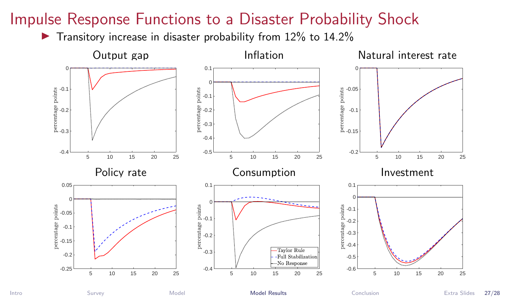### Impulse Response Functions to a Disaster Probability Shock

 $\blacktriangleright$  Transitory increase in disaster probability from 12% to 14.2%

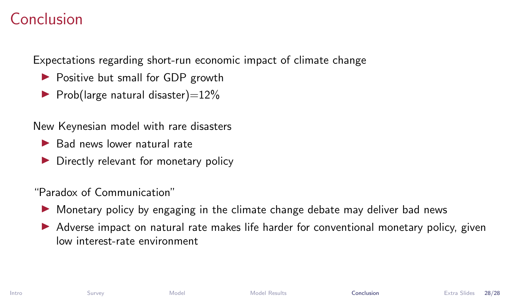### <span id="page-29-0"></span>Conclusion

Expectations regarding short-run economic impact of climate change

- ▶ Positive but small for GDP growth
- $\blacktriangleright$  Prob(large natural disaster)=12%

New Keynesian model with rare disasters

- $\blacktriangleright$  Bad news lower natural rate
- Directly relevant for monetary policy

"Paradox of Communication"

- $\triangleright$  Monetary policy by engaging in the climate change debate may deliver bad news
- Adverse impact on natural rate makes life harder for conventional monetary policy, given low interest-rate environment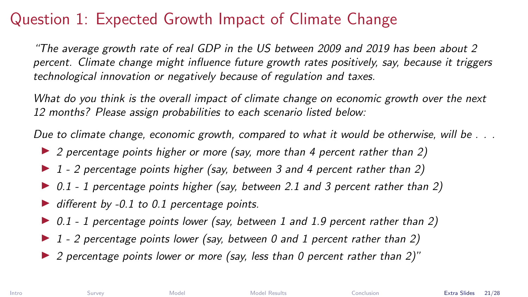# <span id="page-30-0"></span>Question 1: Expected Growth Impact of Climate Change

"The average growth rate of real GDP in the US between 2009 and 2019 has been about 2 percent. Climate change might influence future growth rates positively, say, because it triggers technological innovation or negatively because of regulation and taxes.

What do you think is the overall impact of climate change on economic growth over the next 12 months? Please assign probabilities to each scenario listed below:

Due to climate change, economic growth, compared to what it would be otherwise, will be ...

- $\triangleright$  2 percentage points higher or more (say, more than 4 percent rather than 2)
- $\blacktriangleright$  1 2 percentage points higher (say, between 3 and 4 percent rather than 2)
- $\triangleright$  0.1 1 percentage points higher (say, between 2.1 and 3 percent rather than 2)
- $\blacktriangleright$  different by -0.1 to 0.1 percentage points.
- $\triangleright$  0.1 1 percentage points lower (say, between 1 and 1.9 percent rather than 2)
- $\blacktriangleright$  1 2 percentage points lower (say, between 0 and 1 percent rather than 2)
- $\triangleright$  2 percentage points lower or more (say, less than 0 percent rather than 2)"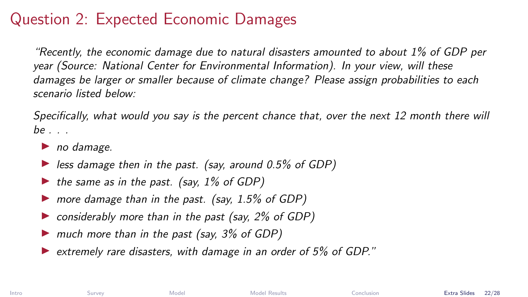## Question 2: Expected Economic Damages

"Recently, the economic damage due to natural disasters amounted to about 1% of GDP per year (Source: National Center for Environmental Information). In your view, will these damages be larger or smaller because of climate change? Please assign probabilities to each scenario listed below:

Specifically, what would you say is the percent chance that, over the next 12 month there will  $be \dots$ 

- $\blacktriangleright$  no damage.
- $\triangleright$  less damage then in the past. (say, around 0.5% of GDP)
- $\triangleright$  the same as in the past. (say, 1% of GDP)
- $\triangleright$  more damage than in the past. (say, 1.5% of GDP)
- $\triangleright$  considerably more than in the past (say, 2% of GDP)
- $\triangleright$  much more than in the past (say, 3% of GDP)
- $\triangleright$  extremely rare disasters, with damage in an order of 5% of GDP."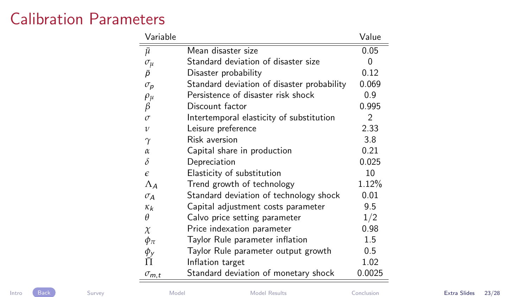## <span id="page-32-0"></span>Calibration Parameters

| Variable                   |                                            | Value  |
|----------------------------|--------------------------------------------|--------|
| ū                          | Mean disaster size                         | 0.05   |
| $\sigma_{\mu}$             | Standard deviation of disaster size        | 0      |
| P                          | Disaster probability                       | 0.12   |
| $\sigma_{p}$               | Standard deviation of disaster probability | 0.069  |
| $\rho_\mu$                 | Persistence of disaster risk shock         | 0.9    |
| $\beta$                    | Discount factor                            | 0.995  |
| $\sigma$                   | Intertemporal elasticity of substitution   | 2      |
| $\mathcal{U}$              | Leisure preference                         | 2.33   |
| $\gamma$                   | <b>Risk aversion</b>                       | 3.8    |
| $\alpha$                   | Capital share in production                | 0.21   |
| δ                          | Depreciation                               | 0.025  |
| $\epsilon$                 | Elasticity of substitution                 | 10     |
| $\Lambda_A$                | Trend growth of technology                 | 1.12%  |
| $\sigma_A$                 | Standard deviation of technology shock     | 0.01   |
| $\kappa_k$                 | Capital adjustment costs parameter         | 9.5    |
| θ                          | Calvo price setting parameter              | 1/2    |
| $\chi$                     | Price indexation parameter                 | 0.98   |
| $\phi_{\pi}$               | Taylor Rule parameter inflation            | 1.5    |
| $\phi_y$                   | Taylor Rule parameter output growth        | 0.5    |
|                            | Inflation target                           | 1.02   |
| $\sigma_{m,\underline{t}}$ | Standard deviation of monetary shock       | 0.0025 |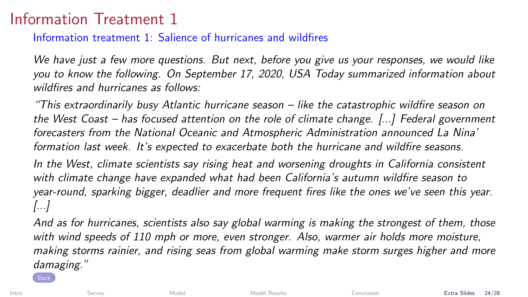## Information Treatment 1

#### Information treatment 1: Salience of hurricanes and wildfires

We have just a few more questions. But next, before you give us your responses, we would like you to know the following. On September 17, 2020, USA Today summarized information about wildfires and hurricanes as follows:

"This extraordinarily busy Atlantic hurricane season – like the catastrophic wildfire season on the West Coast – has focused attention on the role of climate change. [...] Federal government forecasters from the National Oceanic and Atmospheric Administration announced La Nina' formation last week. It's expected to exacerbate both the hurricane and wildfire seasons.

In the West, climate scientists say rising heat and worsening droughts in California consistent with climate change have expanded what had been California's autumn wildfire season to year-round, sparking bigger, deadlier and more frequent fires like the ones we've seen this year. [...]

And as for hurricanes, scientists also say global warming is making the strongest of them, those with wind speeds of 110 mph or more, even stronger. Also, warmer air holds more moisture, making storms rainier, and rising seas from global warming make storm surges higher and more damaging."

[Back](#page-8-0)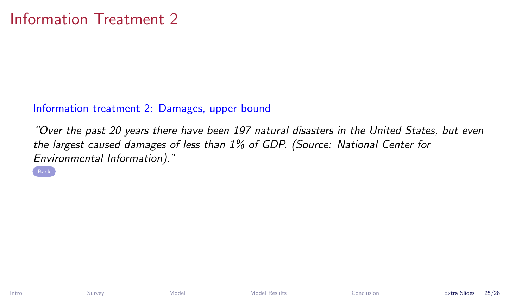#### Information treatment 2: Damages, upper bound

"Over the past 20 years there have been 197 natural disasters in the United States, but even the largest caused damages of less than 1% of GDP. (Source: National Center for Environmental Information)."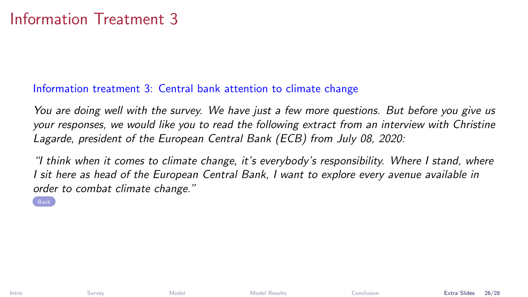#### Information treatment 3: Central bank attention to climate change

You are doing well with the survey. We have just a few more questions. But before you give us your responses, we would like you to read the following extract from an interview with Christine Lagarde, president of the European Central Bank (ECB) from July 08, 2020:

"I think when it comes to climate change, it's everybody's responsibility. Where I stand, where I sit here as head of the European Central Bank, I want to explore every avenue available in order to combat climate change."

**[Back](#page-8-0)**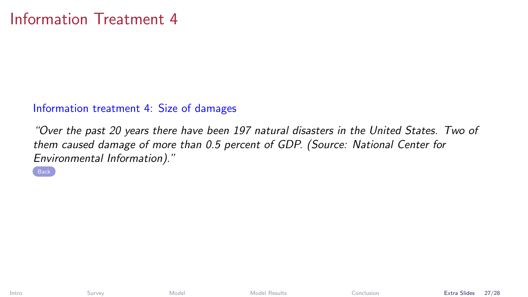#### Information treatment 4: Size of damages

"Over the past 20 years there have been 197 natural disasters in the United States. Two of them caused damage of more than 0.5 percent of GDP. (Source: National Center for Environmental Information)."